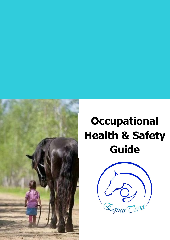

# **Occupational Health & Safety Guide**

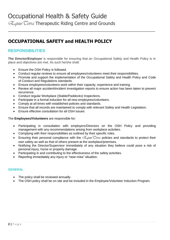# Occupational Health & Safety Guide

*EquusTerra* Therapeutic Riding Centre and Grounds

# **OCCUPATIONAL SAFETY and HEALTH POLICY**

#### **RESPONSIBILITIES**

**The Director/Employer** is responsible for ensuring that an Occupational Safety and Health Policy is in place and objectives are met. As such he/she shall:

\_\_\_\_\_\_\_\_\_\_\_\_\_\_\_\_\_\_\_\_\_\_\_\_\_\_\_\_\_\_\_\_\_\_\_\_\_\_\_\_\_\_\_\_\_\_\_\_\_\_\_\_\_\_\_\_\_\_\_

- Ensure the OSH Policy is followed.
- Conduct regular reviews to ensure all employees/volunteers meet their responsibilities.
- Promote and support the implementation of the Occupational Safety and Health Policy and Code of Conduct and Regulations standards.
- Ensure employees/volunteers work within their capacity, experience and training.
- Review all major accident/incident investigation reports to ensure action has been taken to prevent recurrence.
- Conduct regular Workplace (Stable/Paddocks) Inspections.
- Participate in a formal induction for all new employees/volunteers.
- Comply at all times with established policies and standards.
- Ensure that all records are maintained to comply with relevant Safety and Health Legislation.
- Ensure effective consultation for all OSH issues

#### The **Employees/Volunteers** are responsible for:

- Participating in consultation with employers/Directors on the OSH Policy and providing management with any recommendations arising from workplace activities.
- Complying with their responsibilities as outlined by their specific roles.
- **Ensuring their personal compliance with the**  $\mathcal{L}_{\text{gluss}}$  **Cerra policies and standards to protect their** own safety as well as that of others present at the workplace/premises.
- Notifying the Director/Supervisor immediately of any situation they believe could pose a risk of personal injury, horse or property damage.
- Participating in and contributing to the effectiveness of the safety activities.
- Reporting immediately any injury or "near-miss" situation.

#### **GENERAL**

- The policy shall be reviewed annually.
- The OSH policy shall be on site and be included in the Employee/Volunteer Induction Program.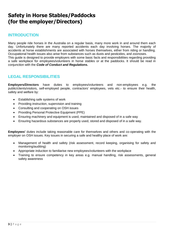# **Safety in Horse Stables/Paddocks (for the employer/Directors)**

#### **INTRODUCTION**

Many people ride horses in the Australia on a regular basis, many more work in and around them each day. Unfortunately there are many reported accidents each day involving horses. The majority of accidents at horse establishments are associated with horses themselves, either from riding or handling. Occupational health issues also arise from substances such as dusts and pesticides, and zoonoses. This guide is designed to provide employers with some basic facts and responsibilities regarding providing a safe workplace for employees/volunteers in horse stables or at the paddocks. It should be read in conjunction with the *Code of Conduct and Regulations.*

#### **LEGAL RESPONSIBILITIES**

**Employers/Directors** have duties to employees/volunteers and non-employees e.g. the public/clients/visitors, self-employed people, contractors' employees, vets etc.- to ensure their health, safety and welfare by:

- Establishing safe systems of work
- Providing instruction, supervision and training
- Consulting and cooperating on OSH issues
- Providing Personal Protective Equipment (PPE)
- Ensuring machinery and equipment is used, maintained and disposed of in a safe way
- Ensuring hazardous substances are properly used, stored and disposed of in a safe way.

**Employees'** duties include taking reasonable care for themselves and others and co-operating with the employer on OSH issues. Key issues in securing a safe and healthy place of work are:

- Management of health and safety (risk assessment, record keeping, organising for safety and monitoring/auditing)
- Appropriate induction to familiarise new employees/volunteers with the workplace
- Training to ensure competency in key areas e.g. manual handling, risk assessments, general safety awareness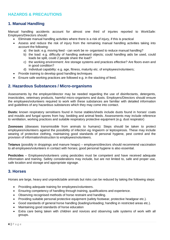#### **HAZARDS & PRECAUTIONS**

#### **1. Manual Handling**

Manual handling accidents account for almost one third of injuries reported to WorkSafe: Employers/Directors should:

- Eliminate manual handling activities where there is a risk of injury, if this is practical
- Assess and reduce the risk of injury from the remaining manual handling activities taking into account the following:
	- a) the task: e.g. moving feed can work be re- organised to reduce manual handling?
	- b) the load: e.g. difficulty of handling awkward objects; could handling aids be used, could loads be split, could 2 people share the load?
	- c) the working environment: Are storage systems and practices effective? Are floors even and in good condition?
	- d) Individual capability: e.g. age, fitness, maturity etc. of employees/volunteers;
- Provide training to develop good handling techniques
- Ensure safe working practices are followed e.g. in the stacking of feed.

#### **2. Hazardous Substances / Micro-organisms**

Assessments by the employer/director may be needed regarding the use of disinfectants, detergents, insecticides, veterinary products, harmful micro-organisms and dusts. Employers/Directors should ensure the employees/volunteers required to work with these substances are familiar with detailed information and guidelines of any hazardous substances which they may come into contact.

**Dusts:** known respiratory sensitisers found in horse stables/sheds include dusts found in horses' coats and moulds and fungal spores from hay, bedding and animal feeds. Assessments may include reference to ventilation, working practices and suitable respiratory protective equipment (e.g. dust respirator)

**Zoonoses** (diseases transmissible from animals to humans): Steps should be taken to protect employees/volunteers against the possibility of infection eg ringworm or leptospirosis. These may include wearing of protective clothing, maintaining good standards of personal hygiene, pest control and the provision of information/instruction to employees/volunteers.

**Tetanus** (possibly in droppings and manure heaps) – employers/directors should recommend vaccination to all employees/volunteers in contact with horses; good personal hygiene is also essential.

**Pesticides** – Employees/volunteers using pesticides must be competent and have received adequate information and training. Safety considerations may include, but are not limited to, safe and proper use, safe location and storage and appropriate signage.

#### **3. Horses**

Horses are large, heavy and unpredictable animals but risks can be reduced by taking the following steps:

- Providing adequate training for employees/volunteers.
- Ensuring competency of handling through training, qualifications and experience.
- Observing recognised methods of horse restraint and handling.
- Providing suitable personal protective equipment (safety footwear, protective headgear etc.).
- Good standards of general horse handling (loading/unloading; handling in restricted areas etc.).
- Maintaining good standards of horse education
- Extra care being taken with children and novices and observing safe systems of work with all groups.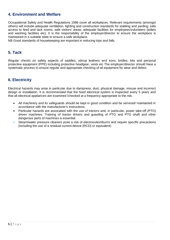#### **4. Environment and Welfare**

Occupational Safety and Health Regulations 1996 cover all workplaces. Relevant requirements (amongst others) will include adequate ventilation, lighting and construction standards for stabling and yarding; safe access to feed and tack rooms; safe visitors' areas; adequate facilities for employees/volunteers (toilets and washing facilities etc). It is the responsibility of the employer/director to ensure the workplace is maintained in a suitable state to ensure a safe workplace.

NB Good standards of housekeeping are important in reducing trips and falls.

#### **5. Tack**

Regular checks on safety aspects of saddles, stirrup leathers and irons, bridles, bits and personal protective equipment (PPE) including protective headgear, vests etc The employer/director should have a systematic process to ensure regular and appropriate checking of all equipment for wear and defect.

#### **6. Electricity**

Electrical hazards may arise in particular due to dampness, dust, physical damage, misuse and incorrect design or installation. It is recommended that the fixed electrical system is inspected every 5 years and that all electrical appliances are examined /checked at a frequency appropriate to the risk.

- All machinery and its safeguards should be kept in good condition and be serviced/ maintained in accordance with the manufacturer's instructions.
- Particular hazards are associated with the use of tractors and, in particular, power take-off (PTO) driven machines. Training of tractor drivers and guarding of PTO and PTO shaft and other dangerous parts of machines is essential.
- Steam/water pressure cleaners pose a risk of electrocution/burns and require specific precautions (including the use of a residual current device (RCD) or equivalent)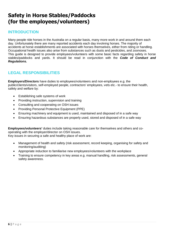# **Safety in Horse Stables/Paddocks (for the employees/volunteers)**

#### **INTRODUCTION**

Many people ride horses in the Australia on a regular basis, many more work in and around them each day. Unfortunately there are many reported accidents each day involving horses. The majority of accidents at horse establishments are associated with horses themselves, either from riding or handling. Occupational health issues also arise from substances such as dusts and pesticides, and zoonoses. This guide is designed to provide employees/volunteers with some basic facts regarding safety in horse stables/paddocks and yards. It should be read in conjunction with the *Code of Conduct and Regulations.*

#### **LEGAL RESPONSIBILITIES**

**Employers/Directors** have duties to employees/volunteers and non-employees e.g. the public/clients/visitors, self-employed people, contractors' employees, vets etc.- to ensure their health, safety and welfare by:

- Establishing safe systems of work
- Providing instruction, supervision and training
- Consulting and cooperating on OSH issues
- Providing Personal Protective Equipment (PPE)
- Ensuring machinery and equipment is used, maintained and disposed of in a safe way
- Ensuring hazardous substances are properly used, stored and disposed of in a safe way

**Employees/volunteers'** duties include taking reasonable care for themselves and others and cooperating with the employer/director on OSH issues. Key issues in securing a safe and healthy place of work are:

- Management of health and safety (risk assessment, record keeping, organising for safety and monitoring/auditing)
- Appropriate induction to familiarise new employees/volunteers with the workplace
- Training to ensure competency in key areas e.g. manual handling, risk assessments, general safety awareness.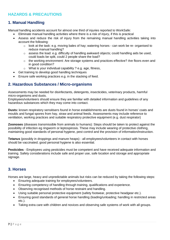#### **HAZARDS & PRECAUTIONS**

#### **1. Manual Handling**

Manual handling accidents account for almost one third of injuries reported to WorkSafe:

- Eliminate manual handling activities where there is a risk of injury, if this is practical
- Assess and reduce the risk of injury from the remaining manual handling activities taking into account the following:
	- $\circ$  look at the task: e.g. moving bales of hay; watering horses can work be re- organised to reduce manual handling?
	- $\circ$  assess the load: e.g. difficulty of handling awkward objects; could handling aids be used, could loads be split, could 2 people share the load?
	- $\circ$  the working environment: Are storage systems and practices effective? Are floors even and in good condition?
	- o What is your individual capability ? e.g. age, fitness,
- Get training to develop good handling techniques
- Ensure safe working practices e.g. in the stacking of feed.

#### **2. Hazardous Substances / Micro-organisms**

Assessments may be needed for disinfectants, detergents, insecticides, veterinary products, harmful micro-organisms and dusts.

Employees/volunteers should ensure they are familiar with detailed information and guidelines of any hazardous substances which they may come into contact.

**Dusts:** known respiratory sensitisers found in horse establishments are dusts found in horses' coats and moulds and fungal spores from hay, straw and animal feeds. Assessments may include reference to ventilation, working practices and suitable respiratory protective equipment (e.g. dust respirator)

**Zoonoses** (diseases transmissible from animals to humans): Steps should be taken to protect against the possibility of infection eg ringworm or leptospirosis. These may include wearing of protective clothing, maintaining good standards of personal hygiene, pest control and the provision of information/instruction.

**Tetanus** (possibly in droppings and manure heaps) - all employees/volunteers in contact with horses should be vaccinated; good personal hygiene is also essential.

**Pesticides** - Employees using pesticides must be competent and have received adequate information and training. Safety considerations include safe and proper use, safe location and storage and appropriate signage.

#### **3. Horses**

Horses are large, heavy and unpredictable animals but risks can be reduced by taking the following steps:

- Ensuring adequate training for employees/volunteers.
- Ensuring competency of handling through training, qualifications and experience.
- Observing recognised methods of horse restraint and handling.
- Using suitable personal protective equipment (safety footwear, protective headgear etc.).
- Ensuring good standards of general horse handling (loading/unloading; handling in restricted areas etc.).
- Taking extra care with children and novices and observing safe systems of work with all groups.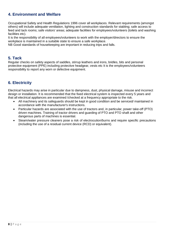#### **4. Environment and Welfare**

Occupational Safety and Health Regulations 1996 cover all workplaces. Relevant requirements (amongst others) will include adequate ventilation, lighting and construction standards for stabling; safe access to feed and tack rooms; safe visitors' areas; adequate facilities for employees/volunteers (toilets and washing facilities etc).

It is the responsibility of all employees/volunteers to work with the employer/directors to ensure the workplace is maintained in a suitable state to ensure a safe workplace.

NB Good standards of housekeeping are important in reducing trips and falls.

#### **5. Tack**

Regular checks on safety aspects of saddles, stirrup leathers and irons, bridles, bits and personal protective equipment (PPE) including protective headgear, vests etc It is the employees/volunteers responsibility to report any worn or defective equipment.

#### **6. Electricity**

Electrical hazards may arise in particular due to dampness, dust, physical damage, misuse and incorrect design or installation. It is recommended that the fixed electrical system is inspected every 5 years and that all electrical appliances are examined /checked at a frequency appropriate to the risk.

- All machinery and its safeguards should be kept in good condition and be serviced/ maintained in accordance with the manufacturer's instructions.
- Particular hazards are associated with the use of tractors and, in particular, power take-off (PTO) driven machines. Training of tractor drivers and guarding of PTO and PTO shaft and other dangerous parts of machines is essential.
- Steam/water pressure cleaners pose a risk of electrocution/burns and require specific precautions (including the use of a residual current device (RCD) or equivalent).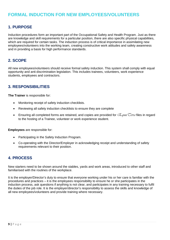## **FORMAL INDUCTION FOR NEW EMPLOYEES/VOLUNTEERS**

#### **1. PURPOSE**

Induction procedures form an important part of the Occupational Safety and Health Program. Just as there are knowledge and skill requirements for a particular position, there are also specific physical capabilities, which are required for certain tasks. The induction process is of critical importance in assimilating new employees/volunteers into the working team, creating constructive work attitudes and safety awareness and in providing a basis for high performance standards.

#### **2. SCOPE**

All new employees/volunteers should receive formal safety induction. This system shall comply with equal opportunity and anti discrimination legislation. This includes trainees, volunteers, work experience students, employees and contractors.

#### **3. RESPONSIBILITIES**

**The Trainer** is responsible for:

- Monitoring receipt of safety induction checklists.
- Reviewing all safety induction checklists to ensure they are complete
- Ensuring all completed forms are retained, and copies are provided for *EquusTerra* files in regard to the hosting of a Trainee, volunteer or work experience student.

**Employees** are responsible for:

- Participating in the Safety Induction Program.
- Co-operating with the Director/Employer in acknowledging receipt and understanding of safety requirements relevant to their position.

#### **4. PROCESS**

New starters need to be shown around the stables, yards and work areas, introduced to other staff and familiarised with the routines of the workplace.

It is the employer/Director's duty to ensure that everyone working under his or her care is familiar with the procedures and practices – it is the employees responsibility to ensure he or she participates in the induction process, ask questions if anything is not clear, and participates in any training necessary to fulfil the duties of the job role. It is the employer/director's responsibility to assess the skills and knowledge of all new employees/volunteers and provide training where necessary.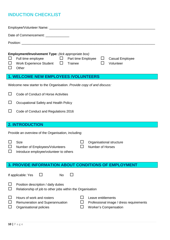# **INDUCTION CHECKLIST**

|                                                                                                                                                                                                                                                | Date of Commencement: ______________                                                                                                           |  |  |  |  |
|------------------------------------------------------------------------------------------------------------------------------------------------------------------------------------------------------------------------------------------------|------------------------------------------------------------------------------------------------------------------------------------------------|--|--|--|--|
|                                                                                                                                                                                                                                                |                                                                                                                                                |  |  |  |  |
| Employment/Involvement Type: (tick appropriate box)<br>and a britannic<br>Full time employee<br>$\mathbf{L}$<br>Part time Employee<br><b>Casual Employee</b><br>ப<br>Work Experience Student $\Box$<br>Trainee<br>Volunteer<br>$\Box$<br>Other |                                                                                                                                                |  |  |  |  |
|                                                                                                                                                                                                                                                | <b>1. WELCOME NEW EMPLOYEES /VOLUNTEERS</b>                                                                                                    |  |  |  |  |
|                                                                                                                                                                                                                                                | Welcome new starter to the Organisation. Provide copy of and discuss:                                                                          |  |  |  |  |
|                                                                                                                                                                                                                                                | Code of Conduct of Horse Activities                                                                                                            |  |  |  |  |
| ப                                                                                                                                                                                                                                              | Occupational Safety and Health Policy                                                                                                          |  |  |  |  |
|                                                                                                                                                                                                                                                | Code of Conduct and Regulations 2016                                                                                                           |  |  |  |  |
|                                                                                                                                                                                                                                                |                                                                                                                                                |  |  |  |  |
| <b>2. INTRODUCTION</b>                                                                                                                                                                                                                         |                                                                                                                                                |  |  |  |  |
|                                                                                                                                                                                                                                                |                                                                                                                                                |  |  |  |  |
|                                                                                                                                                                                                                                                | Provide an overview of the Organisation, including:                                                                                            |  |  |  |  |
| $\Box$                                                                                                                                                                                                                                         | <b>Size</b><br>Organisational structure<br><b>Number of Horses</b><br>Number of Employees/Volunteers<br>Introduce employee/volunteer to others |  |  |  |  |
|                                                                                                                                                                                                                                                | <b>3. PROVIDE INFORMATION ABOUT CONDITIONS OF EMPLOYMENT</b>                                                                                   |  |  |  |  |
|                                                                                                                                                                                                                                                | If applicable: Yes<br><b>No</b>                                                                                                                |  |  |  |  |
|                                                                                                                                                                                                                                                | Position description / daily duties<br>Relationship of job to other jobs within the Organisation                                               |  |  |  |  |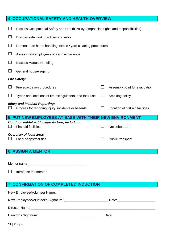| <b>4. OCCUPATIONAL SAFETY AND HEALTH OVERVIEW</b> |                                                                                             |              |                                  |  |  |
|---------------------------------------------------|---------------------------------------------------------------------------------------------|--------------|----------------------------------|--|--|
|                                                   | Discuss Occupational Safety and Health Policy (emphasise rights and responsibilities)       |              |                                  |  |  |
|                                                   | Discuss safe work practices and rules                                                       |              |                                  |  |  |
| $\Box$                                            | Demonstrate horse handling, stable / yard cleaning procedures                               |              |                                  |  |  |
| $\Box$                                            | Assess new employee skills and experience                                                   |              |                                  |  |  |
| $\Box$                                            | <b>Discuss Manual Handling</b>                                                              |              |                                  |  |  |
|                                                   | General housekeeping                                                                        |              |                                  |  |  |
| <b>Fire Safety:</b>                               |                                                                                             |              |                                  |  |  |
| $\Box$                                            | Fire evacuation procedures                                                                  | ΙI           | Assembly point for evacuation    |  |  |
|                                                   | Types and locations of fire extinguishers, and their use                                    | $\mathsf{L}$ | Smoking policy                   |  |  |
|                                                   | <b>Injury and Incident Reporting:</b><br>Process for reporting injury, incidents or hazards |              | Location of first aid facilities |  |  |
|                                                   | 5. PUT NEW EMPLOYEES AT EASE WITH THEIR NEW ENVIRONMENT                                     |              |                                  |  |  |
|                                                   | Conduct stable/paddock/yards tour, including:                                               |              |                                  |  |  |
|                                                   | <b>First aid facilities</b>                                                                 | ΙI           | Noticeboards                     |  |  |
|                                                   | <b>Overview of local area:</b>                                                              |              |                                  |  |  |
|                                                   | Local shops/facilities                                                                      |              | Public transport                 |  |  |
|                                                   |                                                                                             |              |                                  |  |  |
|                                                   | <b>6. ASSIGN A MENTOR</b>                                                                   |              |                                  |  |  |
|                                                   |                                                                                             |              |                                  |  |  |
|                                                   | Mentor name                                                                                 |              |                                  |  |  |

 $\Box$  Introduce the mentor.

# **7. CONFIRMATION OF COMPLETED INDUCTION**

|  | Date: 2000 |  |  |  |
|--|------------|--|--|--|
|  |            |  |  |  |
|  |            |  |  |  |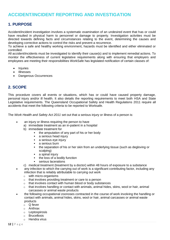### **ACCIDENT/INCIDENT REPORTING AND INVESTIGATION**

#### **1. PURPOSE**

Accident/incident investigation involves a systematic examination of an undesired event that has or could have resulted in physical harm to personnel or damage to property. Investigation activities must be directed towards defining facts and circumstances relating to the event, determining the causes and developing corrective actions to control the risks and prevent a recurrence.

To achieve a safe and healthy working environment, hazards must be identified and either eliminated or controlled.

All accident/incidents must be investigated to identify their cause(s) and to implement remedial actions. To monitor the effectiveness of current legislative requirements along with ensuring that employers and employees are meeting their responsibilities WorkSafe has legislated notification of certain classes of:

- **Injuries**
- Illnesses
- Dangerous Occurrences

#### **2. SCOPE**

This procedure covers all events or situations, which has or could have caused property damage, personal injury and/or ill health. It also details the reporting requirements to meet both HSA and State Legislative requirements. The Queensland Occupational Safety and Health Regulations 2011 require all accidents that meet the following criteria to be reported to Worksafe.

The *Work Health and Safety Act 2011* set out that a serious injury or illness of a person is:

- an injury or illness requiring the person to have
	- a) immediate treatment as an in-patient in a hospital
	- b) immediate treatment for
		- the amputation of any part of his or her body
		- **a** serious head injury
		- a serious eve injury
		- **a** serious burn
		- the separation of his or her skin from an underlying tissue (such as degloving or scalping)
		- a spinal injury
		- $\blacksquare$  the loss of a bodily function
		- serious lacerations
	- c) medical treatment (treatment by a doctor) within 48 hours of exposure to a substance
- any infection to which the carrying out of work is a significant contributing factor, including any infection that is reliably attributable to carrying out work
	- o with micro-organisms
	- o that involves providing treatment or care to a person
	- o that involves contact with human blood or body substances
	- $\circ$  that involves handling or contact with animals, animal hides, skins, wool or hair, animal carcasses or animal waste products
- the following occupational zoonoses contracted in the course of work involving the handling or contact with animals, animal hides, skins, wool or hair, animal carcasses or animal waste products
	- o Q fever
	- o Anthrax
	- o Leptospirosis
	- o Brucellosis
	- o Hendra virus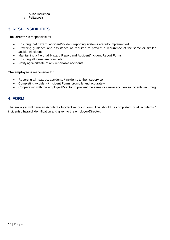- $\circ$  Avian influenza
- o Psittacosis.

#### **3. RESPONSIBILITIES**

**The Director i**s responsible for:

- Ensuring that hazard, accident/incident reporting systems are fully implemented.
- Providing guidance and assistance as required to prevent a recurrence of the same or similar accident/incident
- Maintaining a file of all Hazard Report and Accident/Incident Report Forms
- Ensuring all forms are completed
- Notifying Worksafe of any reportable accidents

**The employee** is responsible for:

- Reporting all hazards, accidents / incidents to their supervisor
- Completing Accident / Incident Forms promptly and accurately.
- Cooperating with the employer/Director to prevent the same or similar accidents/incidents recurring

#### **4. FORM**

The employer will have an Accident / Incident reporting form. This should be completed for all accidents / incidents / hazard identification and given to the employer/Director.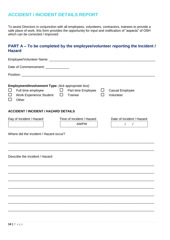# **ACCIDENT / INCIDENT DETAILS REPORT**

To assist Directors in conjunction with all employees, volunteers, contractors, trainees to provide a safe place of work, this form provides the opportunity for input and notification of "aspects" of OSH which can be corrected / improved

#### **PART A – To be completed by the employee/volunteer reporting the Incident / Hazard**

| Date of Commencement: _____________                                                                                                           |                                      |                                                    |
|-----------------------------------------------------------------------------------------------------------------------------------------------|--------------------------------------|----------------------------------------------------|
|                                                                                                                                               |                                      |                                                    |
| Employment/Involvement Type: (tick appropriate box)<br>Full time employee<br>⊔<br>Work Experience Student $\Box$<br>$\Box$<br>Other<br>$\Box$ | $\Box$ Part time Employee<br>Trainee | $\Box$<br><b>Casual Employee</b><br>Ш<br>Volunteer |
| <b>ACCIDENT / INCIDENT / HAZARD DETAILS</b>                                                                                                   |                                      |                                                    |
| Day of Incident / Hazard                                                                                                                      | Time of Incident / Hazard<br>AM/PM   | Date of Incident / Hazard<br>$\sqrt{2}$            |
| Where did the Incident / Hazard occur?                                                                                                        |                                      |                                                    |
| Describe the Incident / Hazard                                                                                                                |                                      |                                                    |
|                                                                                                                                               |                                      |                                                    |
|                                                                                                                                               |                                      |                                                    |
|                                                                                                                                               |                                      |                                                    |
|                                                                                                                                               |                                      |                                                    |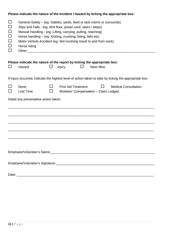|                                                                    | Please indicate the nature of the Incident / Hazard by ticking the appropriate box:                                                                                                                                                                                                                                                                          |    |                                                                    |  |                  |                                                                                                        |  |
|--------------------------------------------------------------------|--------------------------------------------------------------------------------------------------------------------------------------------------------------------------------------------------------------------------------------------------------------------------------------------------------------------------------------------------------------|----|--------------------------------------------------------------------|--|------------------|--------------------------------------------------------------------------------------------------------|--|
| $\Box$<br>$\Box$<br>$\Box$<br>$\Box$<br>$\Box$<br>$\Box$<br>$\Box$ | General Safety – (eg. Stables, yards, feed or tack rooms or surrounds)<br>Slips and Falls - (eg. Wet floor, power cord, stairs / steps)<br>Manual Handling - (eg. Lifting, carrying, pulling, reaching)<br>Horse handling - (eg. Kicking, crushing, biting, falls etc)<br>Motor Vehicle Accident (eg. Not involving travel to and from work)<br>Horse riding |    |                                                                    |  |                  |                                                                                                        |  |
|                                                                    |                                                                                                                                                                                                                                                                                                                                                              |    |                                                                    |  |                  |                                                                                                        |  |
| ⊔                                                                  | Please indicate the nature of the report by ticking the appropriate box:<br>Hazard                                                                                                                                                                                                                                                                           |    | <b>Injury</b>                                                      |  | <b>Near Miss</b> |                                                                                                        |  |
|                                                                    |                                                                                                                                                                                                                                                                                                                                                              |    |                                                                    |  |                  | If injury occurred, indicate the highest level of action taken to date by ticking the appropriate box: |  |
| ப                                                                  | <b>None</b><br>Lost Time                                                                                                                                                                                                                                                                                                                                     | ΙI | <b>First Aid Treatment</b><br>Workers" Compensation - Claim Lodged |  |                  | <b>Medical Consultation</b>                                                                            |  |
|                                                                    | Detail any preventative action taken:                                                                                                                                                                                                                                                                                                                        |    |                                                                    |  |                  |                                                                                                        |  |
|                                                                    |                                                                                                                                                                                                                                                                                                                                                              |    |                                                                    |  |                  |                                                                                                        |  |
|                                                                    |                                                                                                                                                                                                                                                                                                                                                              |    |                                                                    |  |                  |                                                                                                        |  |
|                                                                    |                                                                                                                                                                                                                                                                                                                                                              |    |                                                                    |  |                  |                                                                                                        |  |
|                                                                    |                                                                                                                                                                                                                                                                                                                                                              |    |                                                                    |  |                  |                                                                                                        |  |
|                                                                    |                                                                                                                                                                                                                                                                                                                                                              |    |                                                                    |  |                  |                                                                                                        |  |
|                                                                    |                                                                                                                                                                                                                                                                                                                                                              |    |                                                                    |  |                  |                                                                                                        |  |